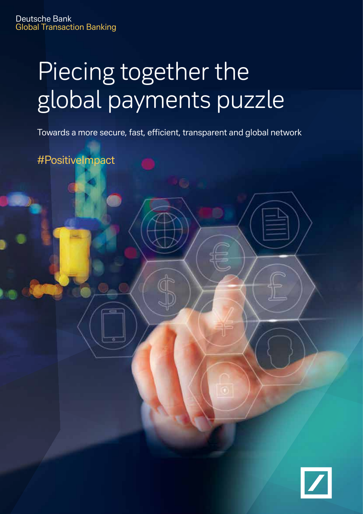# Piecing together the global payments puzzle

Towards a more secure, fast, efficient, transparent and global network

#PositiveImpact

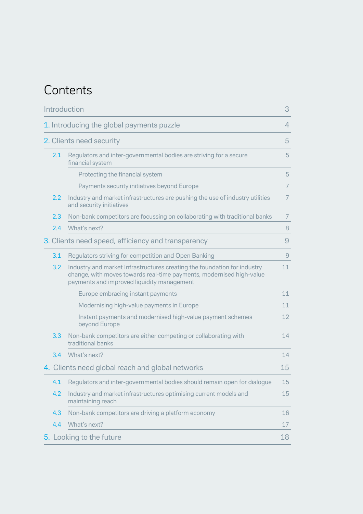### **Contents**

| Introduction |                                                  | 3                                                                                                                                                                                              |                |
|--------------|--------------------------------------------------|------------------------------------------------------------------------------------------------------------------------------------------------------------------------------------------------|----------------|
|              |                                                  | 1. Introducing the global payments puzzle                                                                                                                                                      | $\overline{4}$ |
|              | 2. Clients need security                         |                                                                                                                                                                                                |                |
|              | 2.1                                              | Regulators and inter-governmental bodies are striving for a secure<br>financial system                                                                                                         | 5              |
|              |                                                  | Protecting the financial system                                                                                                                                                                | 5              |
|              |                                                  | Payments security initiatives beyond Europe                                                                                                                                                    | 7              |
|              | $2.2\,$                                          | Industry and market infrastructures are pushing the use of industry utilities<br>and security initiatives                                                                                      | 7              |
|              | 2.3                                              | Non-bank competitors are focussing on collaborating with traditional banks                                                                                                                     | $\overline{7}$ |
|              | 2.4                                              | What's next?                                                                                                                                                                                   | 8              |
|              |                                                  | 3. Clients need speed, efficiency and transparency                                                                                                                                             | 9              |
|              | 3.1                                              | Regulators striving for competition and Open Banking                                                                                                                                           | 9              |
|              | 3.2                                              | Industry and market Infrastructures creating the foundation for industry<br>change, with moves towards real-time payments, modernised high-value<br>payments and improved liquidity management | 11             |
|              |                                                  | Europe embracing instant payments                                                                                                                                                              | 11             |
|              |                                                  | Modernising high-value payments in Europe                                                                                                                                                      | 11             |
|              |                                                  | Instant payments and modernised high-value payment schemes<br>beyond Europe                                                                                                                    | 12             |
|              | 3.3                                              | Non-bank competitors are either competing or collaborating with<br>traditional banks                                                                                                           | 14             |
|              | 3.4                                              | What's next?                                                                                                                                                                                   | 14             |
|              | 4. Clients need global reach and global networks |                                                                                                                                                                                                | 15             |
|              | 4.1                                              | Regulators and inter-governmental bodies should remain open for dialogue                                                                                                                       | 15             |
|              | 4.2                                              | Industry and market infrastructures optimising current models and<br>maintaining reach                                                                                                         | 15             |
|              | 4.3                                              | Non-bank competitors are driving a platform economy                                                                                                                                            | 16             |
|              | 4.4                                              | What's next?                                                                                                                                                                                   | 17             |
|              | 5. Looking to the future                         |                                                                                                                                                                                                | 18             |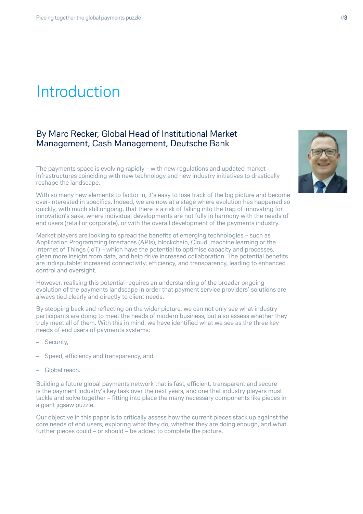## Introduction

### By Marc Recker, Global Head of Institutional Market Management, Cash Management, Deutsche Bank

The payments space is evolving rapidly – with new regulations and updated market infrastructures coinciding with new technology and new industry initiatives to drastically reshape the landscape.

With so many new elements to factor in, it's easy to lose track of the big picture and become over-interested in specifics. Indeed, we are now at a stage where evolution has happened so quickly, with much still ongoing, that there is a risk of falling into the trap of innovating for innovation's sake, where individual developments are not fully in harmony with the needs of end users (retail or corporate), or with the overall development of the payments industry.

Market players are looking to spread the benefits of emerging technologies – such as Application Programming Interfaces (APIs), blockchain, Cloud, machine learning or the Internet of Things (IoT) – which have the potential to optimise capacity and processes, glean more insight from data, and help drive increased collaboration. The potential benefits are indisputable: increased connectivity, efficiency, and transparency, leading to enhanced control and oversight.

However, realising this potential requires an understanding of the broader ongoing evolution of the payments landscape in order that payment service providers' solutions are always tied clearly and directly to client needs.

By stepping back and reflecting on the wider picture, we can not only see what industry participants are doing to meet the needs of modern business, but also assess whether they truly meet all of them. With this in mind, we have identified what we see as the three key needs of end users of payments systems:

- Security,
- Speed, efficiency and transparency, and
- Global reach.

Building a future global payments network that is fast, efficient, transparent and secure is the payment industry's key task over the next years, and one that industry players must tackle and solve together – fitting into place the many necessary components like pieces in a giant jigsaw puzzle.

Our objective in this paper is to critically assess how the current pieces stack up against the core needs of end users, exploring what they do, whether they are doing enough, and what further pieces could – or should – be added to complete the picture.

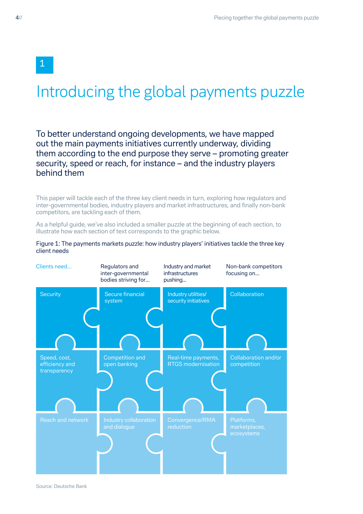## Introducing the global payments puzzle

To better understand ongoing developments, we have mapped out the main payments initiatives currently underway, dividing them according to the end purpose they serve – promoting greater security, speed or reach, for instance – and the industry players behind them

This paper will tackle each of the three key client needs in turn, exploring how regulators and inter-governmental bodies, industry players and market infrastructures, and finally non-bank competitors, are tackling each of them.

As a helpful guide, we've also included a smaller puzzle at the beginning of each section, to illustrate how each section of text corresponds to the graphic below.



Figure 1: The payments markets puzzle: how industry players' initiatives tackle the three key client needs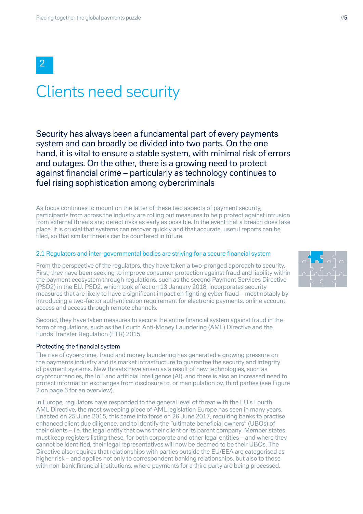## Clients need security

Security has always been a fundamental part of every payments system and can broadly be divided into two parts. On the one hand, it is vital to ensure a stable system, with minimal risk of errors and outages. On the other, there is a growing need to protect against financial crime – particularly as technology continues to fuel rising sophistication among cybercriminals

As focus continues to mount on the latter of these two aspects of payment security, participants from across the industry are rolling out measures to help protect against intrusion from external threats and detect risks as early as possible. In the event that a breach does take place, it is crucial that systems can recover quickly and that accurate, useful reports can be filed, so that similar threats can be countered in future.

#### 2.1 Regulators and inter-governmental bodies are striving for a secure financial system

From the perspective of the regulators, they have taken a two-pronged approach to security. First, they have been seeking to improve consumer protection against fraud and liability within the payment ecosystem through regulations, such as the second Payment Services Directive (PSD2) in the EU. PSD2, which took effect on 13 January 2018, incorporates security measures that are likely to have a significant impact on fighting cyber fraud – most notably by introducing a two-factor authentication requirement for electronic payments, online account access and access through remote channels.

Second, they have taken measures to secure the entire financial system against fraud in the form of regulations, such as the Fourth Anti-Money Laundering (AML) Directive and the Funds Transfer Regulation (FTR) 2015.

#### Protecting the financial system

The rise of cybercrime, fraud and money laundering has generated a growing pressure on the payments industry and its market infrastructure to guarantee the security and integrity of payment systems. New threats have arisen as a result of new technologies, such as cryptocurrencies, the IoT and artificial intelligence (AI), and there is also an increased need to protect information exchanges from disclosure to, or manipulation by, third parties (see Figure 2 on page 6 for an overview).

In Europe, regulators have responded to the general level of threat with the EU's Fourth AML Directive, the most sweeping piece of AML legislation Europe has seen in many years. Enacted on 25 June 2015, this came into force on 26 June 2017, requiring banks to practise enhanced client due diligence, and to identify the "ultimate beneficial owners" (UBOs) of their clients – i.e. the legal entity that owns their client or its parent company. Member states must keep registers listing these, for both corporate and other legal entities – and where they cannot be identified, their legal representatives will now be deemed to be their UBOs. The Directive also requires that relationships with parties outside the EU/EEA are categorised as higher risk – and applies not only to correspondent banking relationships, but also to those with non-bank financial institutions, where payments for a third party are being processed.

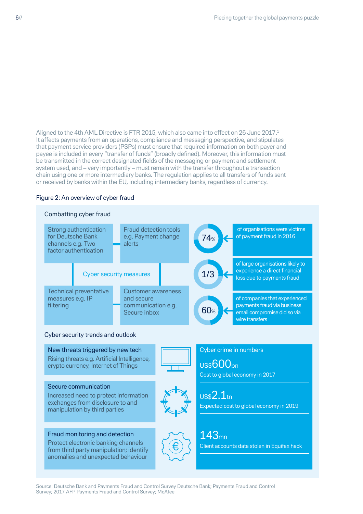Aligned to the 4th AML Directive is FTR 2015, which also came into effect on 26 June 2017.<sup>1</sup> It affects payments from an operations, compliance and messaging perspective, and stipulates that payment service providers (PSPs) must ensure that required information on both payer and payee is included in every "transfer of funds" (broadly defined). Moreover, this information must be transmitted in the correct designated fields of the messaging or payment and settlement system used, and – very importantly – must remain with the transfer throughout a transaction chain using one or more intermediary banks. The regulation applies to all transfers of funds sent or received by banks within the EU, including intermediary banks, regardless of currency.

#### Figure 2: An overview of cyber fraud



Source: Deutsche Bank and Payments Fraud and Control Survey Deutsche Bank; Payments Fraud and Control Survey; 2017 AFP Payments Fraud and Control Survey; McAfee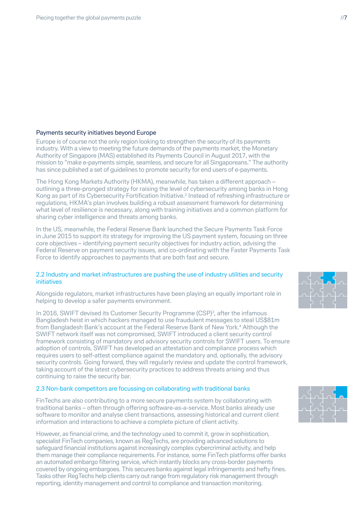#### Payments security initiatives beyond Europe

Europe is of course not the only region looking to strengthen the security of its payments industry. With a view to meeting the future demands of the payments market, the Monetary Authority of Singapore (MAS) established its Payments Council in August 2017, with the mission to "make e-payments simple, seamless, and secure for all Singaporeans." The authority has since published a set of guidelines to promote security for end users of e-payments.

The Hong Kong Markets Authority (HKMA), meanwhile, has taken a different approach – outlining a three-pronged strategy for raising the level of cybersecurity among banks in Hong Kong as part of its Cybersecurity Fortification Initiative.<sup>2</sup> Instead of refreshing infrastructure or regulations, HKMA's plan involves building a robust assessment framework for determining what level of resilience is necessary, along with training initiatives and a common platform for sharing cyber intelligence and threats among banks.

In the US, meanwhile, the Federal Reserve Bank launched the Secure Payments Task Force in June 2015 to support its strategy for improving the US payment system, focusing on three core objectives – identifying payment security objectives for industry action, advising the Federal Reserve on payment security issues, and co-ordinating with the Faster Payments Task Force to identify approaches to payments that are both fast and secure.

#### 2.2 Industry and market infrastructures are pushing the use of industry utilities and security initiatives

Alongside regulators, market infrastructures have been playing an equally important role in helping to develop a safer payments environment.

In 2016, SWIFT devised its Customer Security Programme (CSP)<sup>3</sup>, after the infamous Bangladesh heist in which hackers managed to use fraudulent messages to steal US\$81m from Bangladesh Bank's account at the Federal Reserve Bank of New York.<sup>4</sup> Although the SWIFT network itself was not compromised, SWIFT introduced a client security control framework consisting of mandatory and advisory security controls for SWIFT users. To ensure adoption of controls, SWIFT has developed an attestation and compliance process which requires users to self-attest compliance against the mandatory and, optionally, the advisory security controls. Going forward, they will regularly review and update the control framework, taking account of the latest cybersecurity practices to address threats arising and thus continuing to raise the security bar.

#### 2.3 Non-bank competitors are focussing on collaborating with traditional banks

FinTechs are also contributing to a more secure payments system by collaborating with traditional banks – often through offering software-as-a-service. Most banks already use software to monitor and analyse client transactions, assessing historical and current client information and interactions to achieve a complete picture of client activity.

However, as financial crime, and the technology used to commit it, grow in sophistication, specialist FinTech companies, known as RegTechs, are providing advanced solutions to safeguard financial institutions against increasingly complex cybercriminal activity, and help them manage their compliance requirements. For instance, some FinTech platforms offer banks an automated embargo filtering service, which instantly blocks any cross-border payments covered by ongoing embargoes. This secures banks against legal infringements and hefty fines. Tasks other RegTechs help clients carry out range from regulatory risk management through reporting, identity management and control to compliance and transaction monitoring.



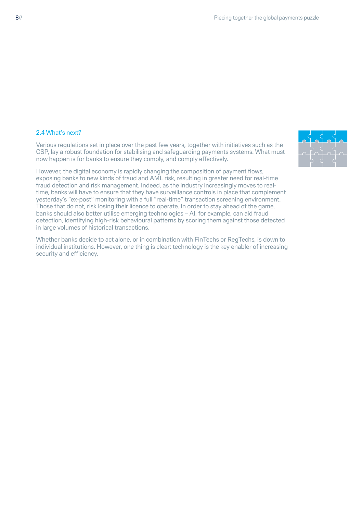#### 2.4 What's next?

Various regulations set in place over the past few years, together with initiatives such as the [CSP,](https://www.swift.com/myswift/customer-security-programme-csp) lay a robust foundation for stabilising and safeguarding payments systems. What must now happen is for banks to ensure they comply, and comply effectively.

However, the digital economy is rapidly changing the composition of payment flows, exposing banks to new kinds of fraud and AML risk, resulting in greater need for real-time fraud detection and risk management. Indeed, as the industry increasingly moves to realtime, banks will have to ensure that they have surveillance controls in place that complement yesterday's "ex-post" monitoring with a full "real-time" transaction screening environment. Those that do not, risk losing their licence to operate. In order to stay ahead of the game, banks should also better utilise emerging technologies – AI, for example, can aid fraud detection, identifying high-risk behavioural patterns by scoring them against those detected in large volumes of historical transactions.

Whether banks decide to act alone, or in combination with FinTechs or RegTechs, is down to individual institutions. However, one thing is clear: technology is the key enabler of increasing security and efficiency.

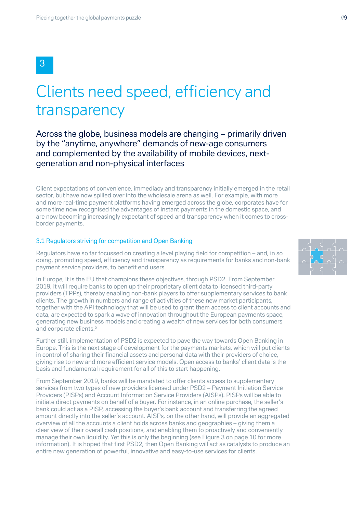## Clients need speed, efficiency and transparency

Across the globe, business models are changing – primarily driven by the "anytime, anywhere" demands of new-age consumers and complemented by the availability of mobile devices, nextgeneration and non-physical interfaces

Client expectations of convenience, immediacy and transparency initially emerged in the retail sector, but have now spilled over into the wholesale arena as well. For example, with more and more real-time payment platforms having emerged across the globe, corporates have for some time now recognised the advantages of instant payments in the domestic space, and are now becoming increasingly expectant of speed and transparency when it comes to crossborder payments.

#### 3.1 Regulators striving for competition and Open Banking

Regulators have so far focussed on creating a level playing field for competition – and, in so doing, promoting speed, efficiency and transparency as requirements for banks and non-bank payment service providers, to benefit end users.

In Europe, it is the EU that champions these objectives, through PSD2. From September 2019, it will require banks to open up their proprietary client data to licensed third-party providers (TPPs), thereby enabling non-bank players to offer supplementary services to bank clients. The growth in numbers and range of activities of these new market participants, together with the API technology that will be used to grant them access to client accounts and data, are expected to spark a wave of innovation throughout the European payments space, generating new business models and creating a wealth of new services for both consumers and corporate clients.<sup>5</sup>

Further still, implementation of PSD2 is expected to pave the way towards Open Banking in Europe. This is the next stage of development for the payments markets, which will put clients in control of sharing their financial assets and personal data with their providers of choice, giving rise to new and more efficient service models. Open access to banks' client data is the basis and fundamental requirement for all of this to start happening.

From September 2019, banks will be mandated to offer clients access to supplementary services from two types of new providers licensed under PSD2 – Payment Initiation Service Providers (PISPs) and Account Information Service Providers (AISPs). PISPs will be able to initiate direct payments on behalf of a buyer. For instance, in an online purchase, the seller's bank could act as a PISP, accessing the buyer's bank account and transferring the agreed amount directly into the seller's account. AISPs, on the other hand, will provide an aggregated overview of all the accounts a client holds across banks and geographies – giving them a clear view of their overall cash positions, and enabling them to proactively and conveniently manage their own liquidity. Yet this is only the beginning (see Figure 3 on page 10 for more information). It is hoped that first PSD2, then Open Banking will act as catalysts to produce an entire new generation of powerful, innovative and easy-to-use services for clients.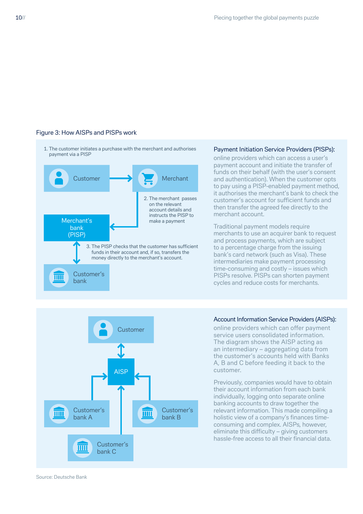#### Figure 3: How AISPs and PISPs work

1. The customer initiates a purchase with the merchant and authorises payment via a PISP



#### Payment Initiation Service Providers (PISPs):

online providers which can access a user's payment account and initiate the transfer of funds on their behalf (with the user's consent and authentication). When the customer opts to pay using a PISP-enabled payment method, it authorises the merchant's bank to check the customer's account for sufficient funds and then transfer the agreed fee directly to the merchant account.

Traditional payment models require merchants to use an acquirer bank to request and process payments, which are subject to a percentage charge from the issuing bank's card network (such as Visa). These intermediaries make payment processing time-consuming and costly – issues which PISPs resolve. PISPs can shorten payment cycles and reduce costs for merchants.



#### Account Information Service Providers (AISPs):

online providers which can offer payment service users consolidated information. The diagram shows the AISP acting as an intermediary – aggregating data from the customer's accounts held with Banks A, B and C before feeding it back to the customer.

Previously, companies would have to obtain their account information from each bank individually, logging onto separate online banking accounts to draw together the relevant information. This made compiling a holistic view of a company's finances timeconsuming and complex. AISPs, however, eliminate this difficulty – giving customers hassle-free access to all their financial data.

Source: Deutsche Bank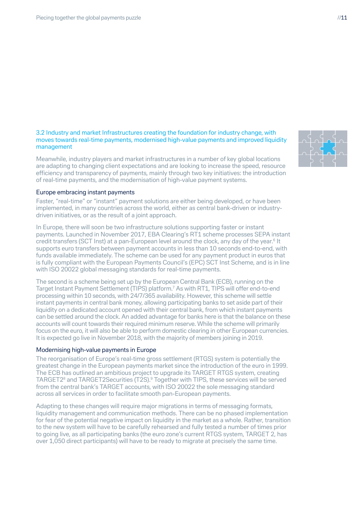#### 3.2 Industry and market Infrastructures creating the foundation for industry change, with moves towards real-time payments, modernised high-value payments and improved liquidity management

Meanwhile, industry players and market infrastructures in a number of key global locations are adapting to changing client expectations and are looking to increase the speed, resource efficiency and transparency of payments, mainly through two key initiatives: the introduction of real-time payments, and the modernisation of high-value payment systems.



Faster, "real-time" or "instant" payment solutions are either being developed, or have been implemented, in many countries across the world, either as central bank-driven or industrydriven initiatives, or as the result of a joint approach.

In Europe, there will soon be two infrastructure solutions supporting faster or instant payments. Launched in November 2017, EBA Clearing's RT1 scheme processes SEPA instant credit transfers (SCT Inst) at a pan-European level around the clock, any day of the year.<sup>6</sup> It supports euro transfers between payment accounts in less than 10 seconds end-to-end, with funds available immediately. The scheme can be used for any payment product in euros that is fully compliant with the European Payments Council's (EPC) SCT Inst Scheme, and is in line with ISO 20022 global messaging standards for real-time payments.

The second is a scheme being set up by the European Central Bank (ECB), running on the Target Instant Payment Settlement (TIPS) platform.7 As with RT1, TIPS will offer end-to-end processing within 10 seconds, with 24/7/365 availability. However, this scheme will settle instant payments in central bank money, allowing participating banks to set aside part of their liquidity on a dedicated account opened with their central bank, from which instant payments can be settled around the clock. An added advantage for banks here is that the balance on these accounts will count towards their required minimum reserve. While the scheme will primarily focus on the euro, it will also be able to perform domestic clearing in other European currencies. It is expected go live in November 2018, with the majority of members joining in 2019.

#### Modernising high-value payments in Europe

The reorganisation of Europe's real-time gross settlement (RTGS) system is potentially the greatest change in the European payments market since the introduction of the euro in 1999. The ECB has outlined an ambitious project to upgrade its TARGET RTGS system, creating TARGET28 and TARGET2Securities (T2S).9 Together with TIPS, these services will be served from the central bank's TARGET accounts, with ISO 20022 the sole messaging standard across all services in order to facilitate smooth pan-European payments.

Adapting to these changes will require major migrations in terms of messaging formats, liquidity management and communication methods. There can be no phased implementation for fear of the potential negative impact on liquidity in the market as a whole. Rather, transition to the new system will have to be carefully rehearsed and fully tested a number of times prior to going live, as all participating banks (the euro zone's current RTGS system, TARGET 2, has over 1,050 direct participants) will have to be ready to migrate at precisely the same time.

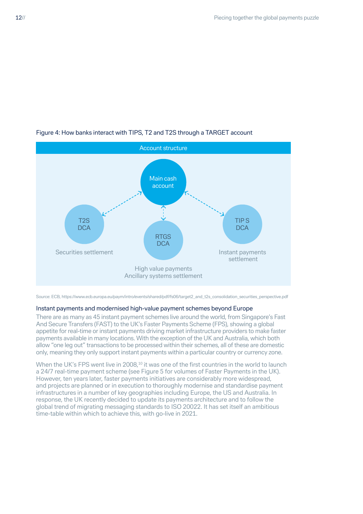

#### Figure 4: How banks interact with TIPS, T2 and T2S through a TARGET account

#### Instant payments and modernised high-value payment schemes beyond Europe

There are as many as 45 instant payment schemes live around the world, from Singapore's Fast And Secure Transfers (FAST) to the UK's Faster Payments Scheme (FPS), showing a global appetite for real-time or instant payments driving market infrastructure providers to make faster payments available in many locations. With the exception of the UK and Australia, which both allow "one leg out" transactions to be processed within their schemes, all of these are domestic only, meaning they only support instant payments within a particular country or currency zone.

When the UK's FPS went live in 2008,<sup>10</sup> it was one of the first countries in the world to launch a 24/7 real-time payment scheme (see Figure 5 for volumes of Faster Payments in the UK). However, ten years later, faster payments initiatives are considerably more widespread, and projects are planned or in execution to thoroughly modernise and standardise payment infrastructures in a number of key geographies including Europe, the US and Australia. In response, the UK recently decided to update its payments architecture and to follow the global trend of migrating messaging standards to ISO 20022. It has set itself an ambitious time-table within which to achieve this, with go-live in 2021.

Source: ECB, https://www.ecb.europa.eu/paym/intro/events/shared/pdf/fs06/target2\_and\_t2s\_consolidation\_securities\_perspective.pdf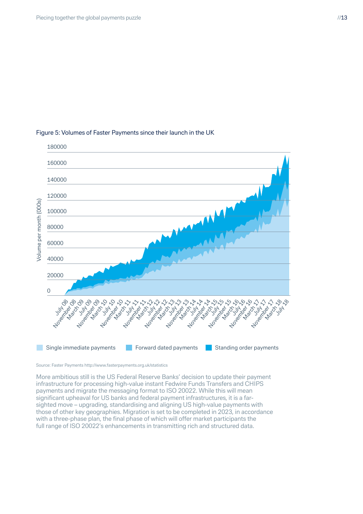

#### Figure 5: Volumes of Faster Payments since their launch in the UK

Source: Faster Payments http://www.fasterpayments.org.uk/statistics

More ambitious still is the US Federal Reserve Banks' decision to update their payment infrastructure for processing high-value instant Fedwire Funds Transfers and CHIPS payments and migrate the messaging format to ISO 20022. While this will mean significant upheaval for US banks and federal payment infrastructures, it is a farsighted move – upgrading, standardising and aligning US high-value payments with those of other key geographies. Migration is set to be completed in 2023, in accordance with a three-phase plan, the final phase of which will offer market participants the full range of ISO 20022's enhancements in transmitting rich and structured data.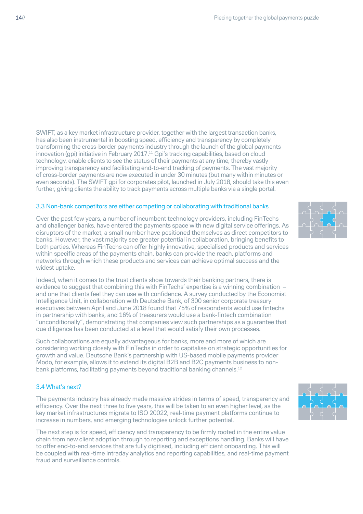SWIFT, as a key market infrastructure provider, together with the largest transaction banks, has also been instrumental in boosting speed, efficiency and transparency by completely transforming the cross-border payments industry through the launch of the global payments innovation (gpi) initiative in February 2017.11 Gpi's tracking capabilities, based on cloud technology, enable clients to see the status of their payments at any time, thereby vastly improving transparency and facilitating end-to-end tracking of payments. The vast majority of cross-border payments are now executed in under 30 minutes (but many within minutes or even seconds). The SWIFT gpi for corporates pilot, launched in July 2018, should take this even further, giving clients the ability to track payments across multiple banks via a single portal.

#### 3.3 Non-bank competitors are either competing or collaborating with traditional banks

Over the past few years, a number of incumbent technology providers, including FinTechs and challenger banks, have entered the payments space with new digital service offerings. As disruptors of the market, a small number have positioned themselves as direct competitors to banks. However, the vast majority see greater potential in collaboration, bringing benefits to both parties. Whereas FinTechs can offer highly innovative, specialised products and services within specific areas of the payments chain, banks can provide the reach, platforms and networks through which these products and services can achieve optimal success and the widest uptake.

Indeed, when it comes to the trust clients show towards their banking partners, there is evidence to suggest that combining this with FinTechs' expertise is a winning combination – and one that clients feel they can use with confidence. A survey conducted by the Economist Intelligence Unit, in collaboration with Deutsche Bank, of 300 senior corporate treasury executives between April and June 2018 found that 75% of respondents would use fintechs in partnership with banks, and 16% of treasurers would use a bank-fintech combination "unconditionally", demonstrating that companies view such partnerships as a guarantee that due diligence has been conducted at a level that would satisfy their own processes.

Such collaborations are equally advantageous for banks, more and more of which are considering working closely with FinTechs in order to capitalise on strategic opportunities for growth and value. Deutsche Bank's partnership with US-based mobile payments provider Modo, for example, allows it to extend its digital B2B and B2C payments business to nonbank platforms, facilitating payments beyond traditional banking channels.<sup>12</sup>

#### 3.4 What's next?

The payments industry has already made massive strides in terms of speed, transparency and efficiency. Over the next three to five years, this will be taken to an even higher level, as the key market infrastructures migrate to ISO 20022, real-time payment platforms continue to increase in numbers, and emerging technologies unlock further potential.

The next step is for speed, efficiency and transparency to be firmly rooted in the entire value chain from new client adoption through to reporting and exceptions handling. Banks will have to offer end-to-end services that are fully digitised, including efficient onboarding. This will be coupled with real-time intraday analytics and reporting capabilities, and real-time payment fraud and surveillance controls.



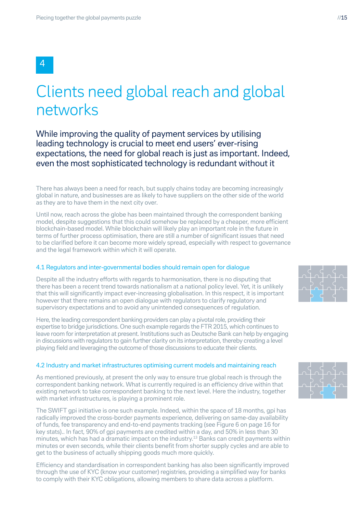## Clients need global reach and global networks

While improving the quality of payment services by utilising leading technology is crucial to meet end users' ever-rising expectations, the need for global reach is just as important. Indeed, even the most sophisticated technology is redundant without it

There has always been a need for reach, but supply chains today are becoming increasingly global in nature, and businesses are as likely to have suppliers on the other side of the world as they are to have them in the next city over.

Until now, reach across the globe has been maintained through the correspondent banking model, despite suggestions that this could somehow be replaced by a cheaper, more efficient blockchain-based model. While blockchain will likely play an important role in the future in terms of further process optimisation, there are still a number of significant issues that need to be clarified before it can become more widely spread, especially with respect to governance and the legal framework within which it will operate.

#### 4.1 Regulators and inter-governmental bodies should remain open for dialogue

Despite all the industry efforts with regards to harmonisation, there is no disputing that there has been a recent trend towards nationalism at a national policy level. Yet, it is unlikely that this will significantly impact ever-increasing globalisation. In this respect, it is important however that there remains an open dialogue with regulators to clarify regulatory and supervisory expectations and to avoid any unintended consequences of regulation.

Here, the leading correspondent banking providers can play a pivotal role, providing their expertise to bridge jurisdictions. One such example regards the FTR 2015, which continues to leave room for interpretation at present. Institutions such as Deutsche Bank can help by engaging in discussions with regulators to gain further clarity on its interpretation, thereby creating a level playing field and leveraging the outcome of those discussions to educate their clients.

#### 4.2 Industry and market infrastructures optimising current models and maintaining reach

As mentioned previously, at present the only way to ensure true global reach is through the correspondent banking network. What is currently required is an efficiency drive within that existing network to take correspondent banking to the next level. Here the industry, together with market infrastructures, is playing a prominent role.

The SWIFT gpi initiative is one such example. Indeed, within the space of 18 months, gpi has radically improved the cross-border payments experience, delivering on same-day availability of funds, fee transparency and end-to-end payments tracking (see Figure 6 on page 16 for key stats).. In fact, 90% of gpi payments are credited within a day, and 50% in less than 30 minutes, which has had a dramatic impact on the industry.13 Banks can credit payments within minutes or even seconds, while their clients benefit from shorter supply cycles and are able to get to the business of actually shipping goods much more quickly.

Efficiency and standardisation in correspondent banking has also been significantly improved through the use of KYC (know your customer) registries, providing a simplified way for banks to comply with their KYC obligations, allowing members to share data across a platform.



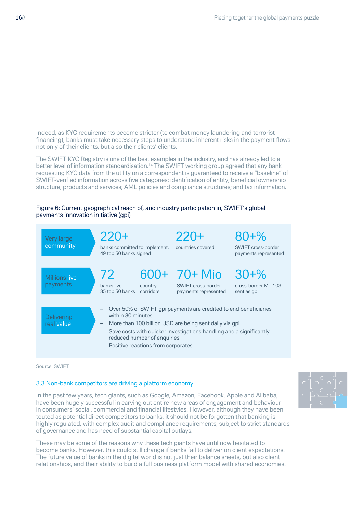Indeed, as KYC requirements become stricter (to combat money laundering and terrorist financing), banks must take necessary steps to understand inherent risks in the payment flows not only of their clients, but also their clients' clients.

The SWIFT KYC Registry is one of the best examples in the industry, and has already led to a better level of information standardisation.<sup>14</sup> The SWIFT working group agreed that any bank requesting KYC data from the utility on a correspondent is guaranteed to receive a "baseline" of SWIFT-verified information across five categories: identification of entity; beneficial ownership structure; products and services; AML policies and compliance structures; and tax information.

#### Figure 6: Current geographical reach of, and industry participation in, SWIFT's global payments innovation initiative (gpi)



Source: SWIFT

#### 3.3 Non-bank competitors are driving a platform economy

In the past few years, tech giants, such as Google, Amazon, Facebook, Apple and Alibaba, have been hugely successful in carving out entire new areas of engagement and behaviour in consumers' social, commercial and financial lifestyles. However, although they have been touted as potential direct competitors to banks, it should not be forgotten that banking is highly regulated, with complex audit and compliance requirements, subject to strict standards of governance and has need of substantial capital outlays.

These may be some of the reasons why these tech giants have until now hesitated to become banks. However, this could still change if banks fail to deliver on client expectations. The future value of banks in the digital world is not just their balance sheets, but also client relationships, and their ability to build a full business platform model with shared economies.

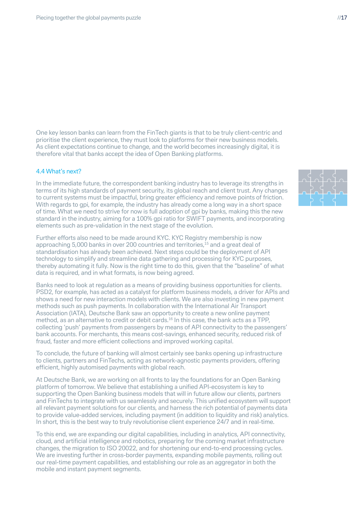One key lesson banks can learn from the FinTech giants is that to be truly client-centric and prioritise the client experience, they must look to platforms for their new business models. As client expectations continue to change, and the world becomes increasingly digital, it is therefore vital that banks accept the idea of Open Banking platforms.

#### 4.4 What's next?

In the immediate future, the correspondent banking industry has to leverage its strengths in terms of its high standards of payment security, its global reach and client trust. Any changes to current systems must be impactful, bring greater efficiency and remove points of friction. With regards to gpi, for example, the industry has already come a long way in a short space of time. What we need to strive for now is full adoption of gpi by banks, making this the new standard in the industry, aiming for a 100% gpi ratio for SWIFT payments, and incorporating elements such as pre-validation in the next stage of the evolution.

Further efforts also need to be made around KYC. KYC Registry membership is now approaching 5,000 banks in over 200 countries and territories.<sup>15</sup> and a great deal of standardisation has already been achieved. Next steps could be the deployment of API technology to simplify and streamline data gathering and processing for KYC purposes, thereby automating it fully. Now is the right time to do this, given that the "baseline" of what data is required, and in what formats, is now being agreed.

Banks need to look at regulation as a means of providing business opportunities for clients. PSD2, for example, has acted as a catalyst for platform business models, a driver for APIs and shows a need for new interaction models with clients. We are also investing in new payment methods such as push payments. In collaboration with the International Air Transport Association (IATA), Deutsche Bank saw an opportunity to create a new online payment method, as an alternative to credit or debit cards.<sup>16</sup> In this case, the bank acts as a TPP, collecting 'push' payments from passengers by means of API connectivity to the passengers' bank accounts. For merchants, this means cost-savings, enhanced security, reduced risk of fraud, faster and more efficient collections and improved working capital.

To conclude, the future of banking will almost certainly see banks opening up infrastructure to clients, partners and FinTechs, acting as network-agnostic payments providers, offering efficient, highly automised payments with global reach.

At Deutsche Bank, we are working on all fronts to lay the foundations for an Open Banking platform of tomorrow. We believe that establishing a unified API-ecosystem is key to supporting the Open Banking business models that will in future allow our clients, partners and FinTechs to integrate with us seamlessly and securely. This unified ecosystem will support all relevant payment solutions for our clients, and harness the rich potential of payments data to provide value-added services, including payment (in addition to liquidity and risk) analytics. In short, this is the best way to truly revolutionise client experience 24/7 and in real-time.

To this end, we are expanding our digital capabilities, including in analytics, API connectivity, cloud, and artificial intelligence and robotics, preparing for the coming market infrastructure changes, the migration to ISO 20022, and for shortening our end-to-end processing cycles. We are investing further in cross-border payments, expanding mobile payments, rolling out our real-time payment capabilities, and establishing our role as an aggregator in both the mobile and instant payment segments.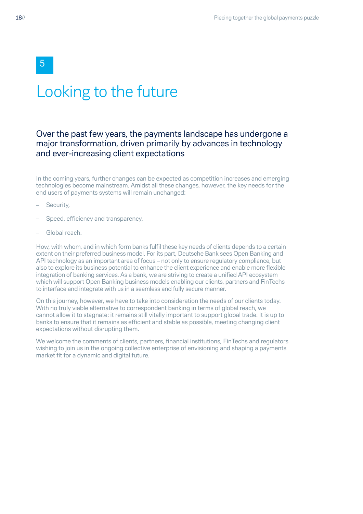## Looking to the future

### Over the past few years, the payments landscape has undergone a major transformation, driven primarily by advances in technology and ever-increasing client expectations

In the coming years, further changes can be expected as competition increases and emerging technologies become mainstream. Amidst all these changes, however, the key needs for the end users of payments systems will remain unchanged:

- Security,
- Speed, efficiency and transparency,
- Global reach.

How, with whom, and in which form banks fulfil these key needs of clients depends to a certain extent on their preferred business model. For its part, Deutsche Bank sees Open Banking and API technology as an important area of focus – not only to ensure regulatory compliance, but also to explore its business potential to enhance the client experience and enable more flexible integration of banking services. As a bank, we are striving to create a unified API ecosystem which will support Open Banking business models enabling our clients, partners and FinTechs to interface and integrate with us in a seamless and fully secure manner.

On this journey, however, we have to take into consideration the needs of our clients today. With no truly viable alternative to correspondent banking in terms of global reach, we cannot allow it to stagnate: it remains still vitally important to support global trade. It is up to banks to ensure that it remains as efficient and stable as possible, meeting changing client expectations without disrupting them.

We welcome the comments of clients, partners, financial institutions, FinTechs and regulators wishing to join us in the ongoing collective enterprise of envisioning and shaping a payments market fit for a dynamic and digital future.

5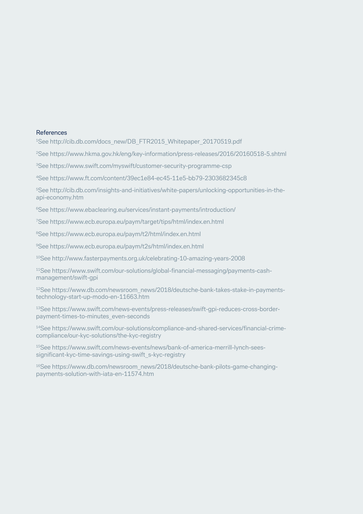#### References

<sup>1</sup>See http://cib.db.com/docs\_new/DB\_FTR2015\_Whitepaper\_20170519.pdf

<sup>2</sup>See https://www.hkma.gov.hk/eng/key-information/press-releases/2016/20160518-5.shtml

3See https://www.swift.com/myswift/customer-security-programme-csp

4See https://www.ft.com/content/39ec1e84-ec45-11e5-bb79-2303682345c8

5See http://cib.db.com/insights-and-initiatives/white-papers/unlocking-opportunities-in-theapi-economy.htm

6See https://www.ebaclearing.eu/services/instant-payments/introduction/

7See https://www.ecb.europa.eu/paym/target/tips/html/index.en.html

<sup>8</sup>See https://www.ecb.europa.eu/paym/t2/html/index.en.html

9See https://www.ecb.europa.eu/paym/t2s/html/index.en.html

10See http://www.fasterpayments.org.uk/celebrating-10-amazing-years-2008

11See https://www.swift.com/our-solutions/global-financial-messaging/payments-cashmanagement/swift-gpi

<sup>12</sup>See https://www.db.com/newsroom\_news/2018/deutsche-bank-takes-stake-in-paymentstechnology-start-up-modo-en-11663.htm

13See https://www.swift.com/news-events/press-releases/swift-gpi-reduces-cross-borderpayment-times-to-minutes\_even-seconds

14See https://www.swift.com/our-solutions/compliance-and-shared-services/financial-crimecompliance/our-kyc-solutions/the-kyc-registry

15See https://www.swift.com/news-events/news/bank-of-america-merrill-lynch-seessignificant-kyc-time-savings-using-swift\_s-kyc-registry

<sup>16</sup>See https://www.db.com/newsroom\_news/2018/deutsche-bank-pilots-game-changingpayments-solution-with-iata-en-11574.htm